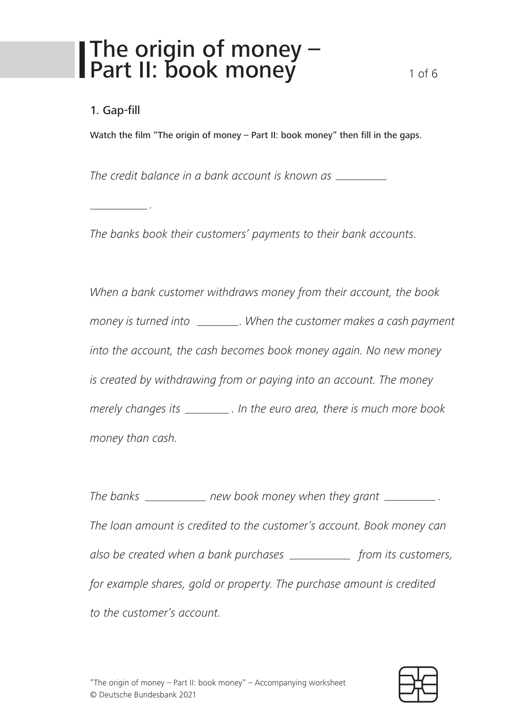### The origin of money – Part II: book money 1 of 6

#### 1. Gap-fill

*.*

Watch the film "The origin of money – Part II: book money" then fill in the gaps.

*The credit balance in a bank account is known as*

*The banks book their customers' payments to their bank accounts.*

*When a bank customer withdraws money from their account, the book money is turned into . When the customer makes a cash payment into the account, the cash becomes book money again. No new money is created by withdrawing from or paying into an account. The money merely changes its . In the euro area, there is much more book money than cash.*

*The banks* \_\_\_\_\_\_\_\_\_\_\_\_ new book money when they grant \_\_\_\_\_\_\_\_\_\_\_\_. *The loan amount is credited to the customer's account. Book money can also be created when a bank purchases* \_\_\_\_\_\_\_\_\_\_\_\_ from its customers, *for example shares, gold or property. The purchase amount is credited to the customer's account.*

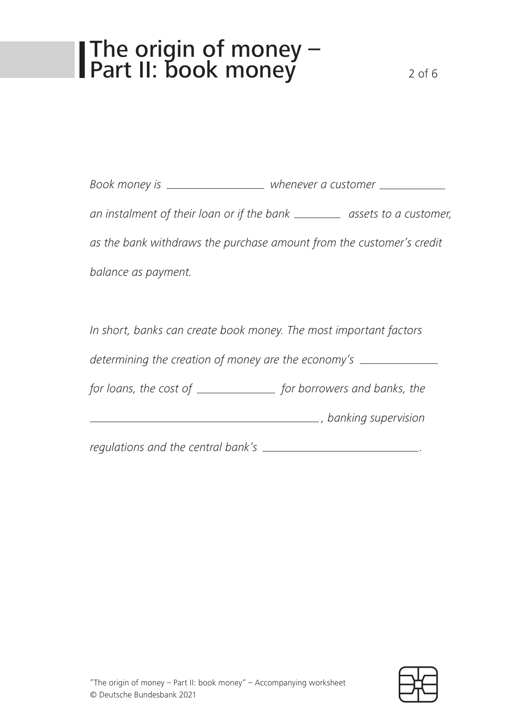# The origin of money – Part II: book money 2 of 6

*Book money is whenever a customer an instalment of their loan or if the bank* \_\_\_\_\_\_\_ *assets to a customer, as the bank withdraws the purchase amount from the customer's credit balance as payment.*

*In short, banks can create book money. The most important factors determining the creation of money are the economy's for loans, the cost of* \_\_\_\_\_\_\_\_\_\_\_\_\_\_\_ *for borrowers and banks, the , banking supervision* 

*regulations and the central bank's .*

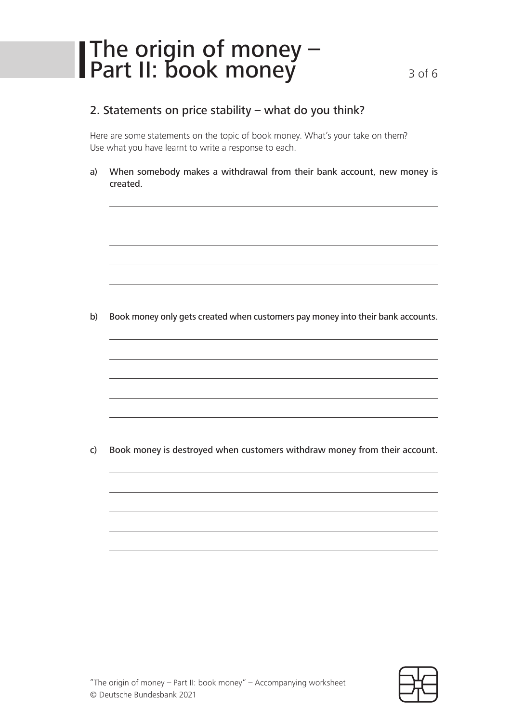## The origin of money – Part II: book money 3 of 6

#### 2. Statements on price stability – what do you think?

Here are some statements on the topic of book money. What's your take on them? Use what you have learnt to write a response to each.

a) When somebody makes a withdrawal from their bank account, new money is created.

b) Book money only gets created when customers pay money into their bank accounts.

c) Book money is destroyed when customers withdraw money from their account.

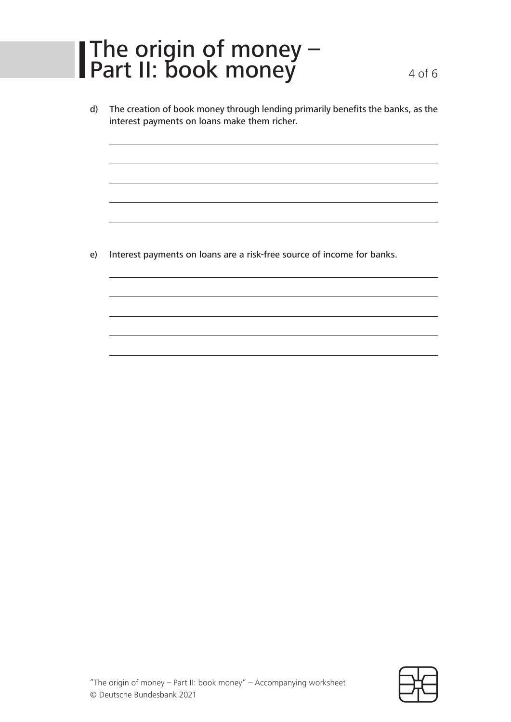# The origin of money – Part II: book money 4 of 6

d) The creation of book money through lending primarily benefits the banks, as the interest payments on loans make them richer.

e) Interest payments on loans are a risk-free source of income for banks.

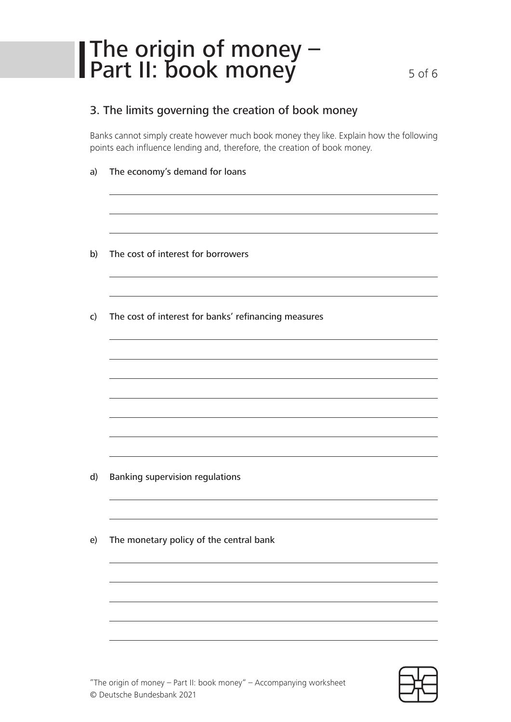# The origin of money – Part II: book money 5 of 6

#### 3. The limits governing the creation of book money

Banks cannot simply create however much book money they like. Explain how the following points each influence lending and, therefore, the creation of book money.

- a) The economy's demand for loans
- b) The cost of interest for borrowers
- c) The cost of interest for banks' refinancing measures

- d) Banking supervision regulations
- e) The monetary policy of the central bank